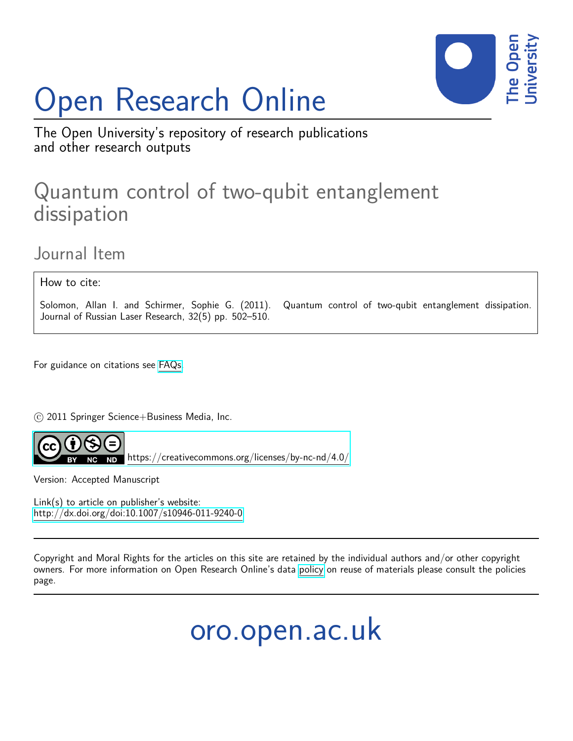# Open Research Online



The Open University's repository of research publications and other research outputs

## Quantum control of two-qubit entanglement dissipation

### Journal Item

How to cite:

Solomon, Allan I. and Schirmer, Sophie G. (2011). Quantum control of two-qubit entanglement dissipation. Journal of Russian Laser Research, 32(5) pp. 502–510.

For guidance on citations see [FAQs.](http://oro.open.ac.uk/help/helpfaq.html)

c 2011 Springer Science+Business Media, Inc.



 $\n \n \text{https://creativecommons.org/licenses/by-nc-nd/4.0/">\n \text{https://creativecommons.org/licenses/by-nc-nd/4.0/}$  $\n \n \text{https://creativecommons.org/licenses/by-nc-nd/4.0/">\n \text{https://creativecommons.org/licenses/by-nc-nd/4.0/}$  $\n \n \text{https://creativecommons.org/licenses/by-nc-nd/4.0/">\n \text{https://creativecommons.org/licenses/by-nc-nd/4.0/}$ 

Version: Accepted Manuscript

Link(s) to article on publisher's website: <http://dx.doi.org/doi:10.1007/s10946-011-9240-0>

Copyright and Moral Rights for the articles on this site are retained by the individual authors and/or other copyright owners. For more information on Open Research Online's data [policy](http://oro.open.ac.uk/policies.html) on reuse of materials please consult the policies page.

oro.open.ac.uk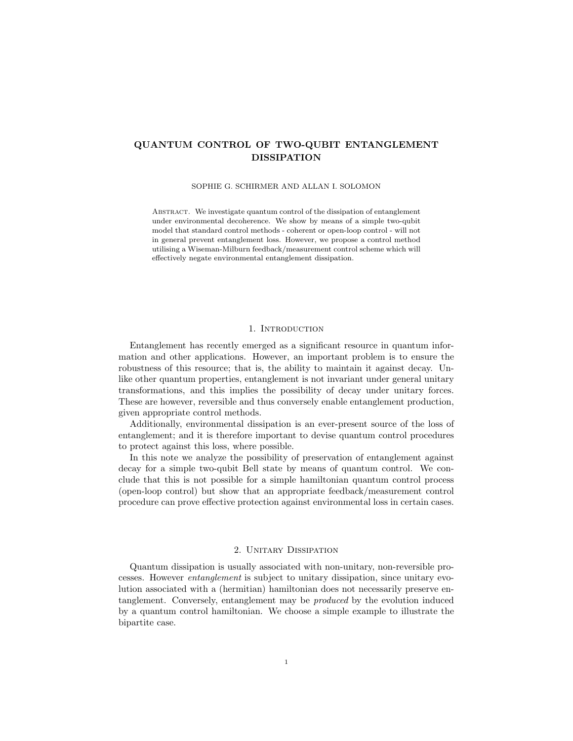#### QUANTUM CONTROL OF TWO-QUBIT ENTANGLEMENT DISSIPATION

#### SOPHIE G. SCHIRMER AND ALLAN I. SOLOMON

ABSTRACT. We investigate quantum control of the dissipation of entanglement under environmental decoherence. We show by means of a simple two-qubit model that standard control methods - coherent or open-loop control - will not in general prevent entanglement loss. However, we propose a control method utilising a Wiseman-Milburn feedback/measurement control scheme which will effectively negate environmental entanglement dissipation.

#### 1. INTRODUCTION

Entanglement has recently emerged as a significant resource in quantum information and other applications. However, an important problem is to ensure the robustness of this resource; that is, the ability to maintain it against decay. Unlike other quantum properties, entanglement is not invariant under general unitary transformations, and this implies the possibility of decay under unitary forces. These are however, reversible and thus conversely enable entanglement production, given appropriate control methods.

Additionally, environmental dissipation is an ever-present source of the loss of entanglement; and it is therefore important to devise quantum control procedures to protect against this loss, where possible.

In this note we analyze the possibility of preservation of entanglement against decay for a simple two-qubit Bell state by means of quantum control. We conclude that this is not possible for a simple hamiltonian quantum control process (open-loop control) but show that an appropriate feedback/measurement control procedure can prove effective protection against environmental loss in certain cases.

#### 2. Unitary Dissipation

Quantum dissipation is usually associated with non-unitary, non-reversible processes. However entanglement is subject to unitary dissipation, since unitary evolution associated with a (hermitian) hamiltonian does not necessarily preserve entanglement. Conversely, entanglement may be produced by the evolution induced by a quantum control hamiltonian. We choose a simple example to illustrate the bipartite case.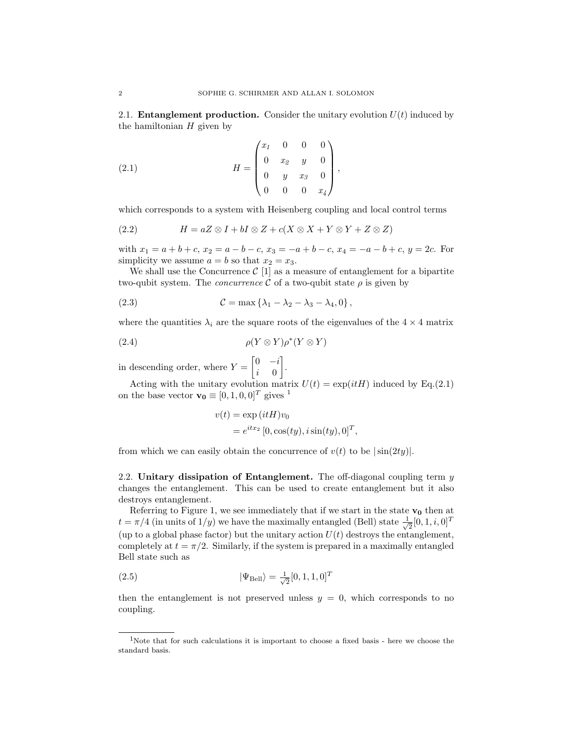2.1. **Entanglement production.** Consider the unitary evolution  $U(t)$  induced by the hamiltonian  $H$  given by

(2.1) 
$$
H = \begin{pmatrix} x_1 & 0 & 0 & 0 \\ 0 & x_2 & y & 0 \\ 0 & y & x_3 & 0 \\ 0 & 0 & 0 & x_4 \end{pmatrix},
$$

which corresponds to a system with Heisenberg coupling and local control terms

(2.2) 
$$
H = aZ \otimes I + bI \otimes Z + c(X \otimes X + Y \otimes Y + Z \otimes Z)
$$

with  $x_1 = a + b + c$ ,  $x_2 = a - b - c$ ,  $x_3 = -a + b - c$ ,  $x_4 = -a - b + c$ ,  $y = 2c$ . For simplicity we assume  $a = b$  so that  $x_2 = x_3$ .

We shall use the Concurrence  $C$  [1] as a measure of entanglement for a bipartite two-qubit system. The *concurrence*  $\mathcal C$  of a two-qubit state  $\rho$  is given by

(2.3) 
$$
\mathcal{C} = \max \left\{ \lambda_1 - \lambda_2 - \lambda_3 - \lambda_4, 0 \right\},
$$

where the quantities  $\lambda_i$  are the square roots of the eigenvalues of the  $4 \times 4$  matrix

$$
\rho(Y \otimes Y)\rho^*(Y \otimes Y)
$$

in descending order, where  $Y = \begin{bmatrix} 0 & -i \\ i & 0 \end{bmatrix}$ i 0 .

Acting with the unitary evolution matrix  $U(t) = \exp(itH)$  induced by Eq.(2.1) on the base vector  $\mathbf{v_0} \equiv [0, 1, 0, 0]^T$  gives <sup>1</sup>

$$
v(t) = \exp(itH)v_0
$$
  
=  $e^{itx_2}$  [0, cos(ty), i sin(ty), 0]<sup>T</sup>,

from which we can easily obtain the concurrence of  $v(t)$  to be  $|\sin(2ty)|$ .

2.2. Unitary dissipation of Entanglement. The off-diagonal coupling term  $y$ changes the entanglement. This can be used to create entanglement but it also destroys entanglement.

Referring to Figure 1, we see immediately that if we start in the state  $v_0$  then at  $t = \pi/4$  (in units of  $1/y$ ) we have the maximally entangled (Bell) state  $\frac{1}{\sqrt{2}}$  $\frac{1}{2}[0, 1, i, 0]^T$ (up to a global phase factor) but the unitary action  $U(t)$  destroys the entanglement, completely at  $t = \pi/2$ . Similarly, if the system is prepared in a maximally entangled Bell state such as

(2.5) 
$$
|\Psi_{\text{Bell}}\rangle = \frac{1}{\sqrt{2}}[0, 1, 1, 0]^T
$$

then the entanglement is not preserved unless  $y = 0$ , which corresponds to no coupling.

<sup>1</sup>Note that for such calculations it is important to choose a fixed basis - here we choose the standard basis.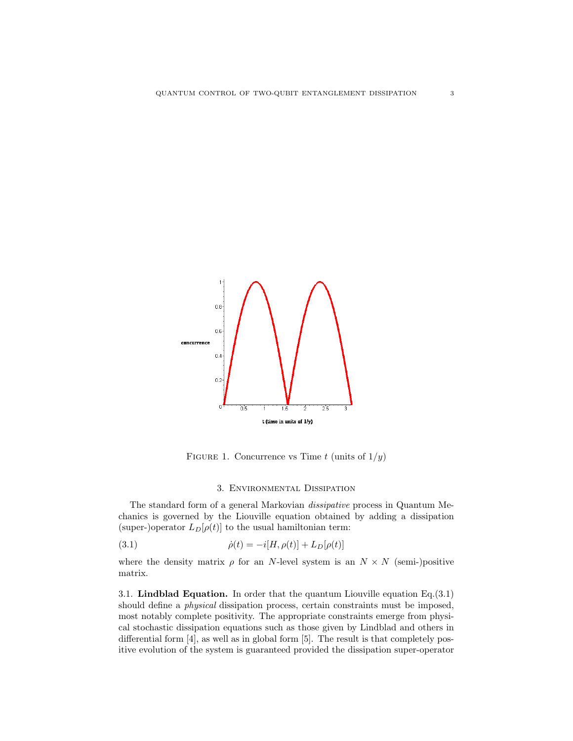

FIGURE 1. Concurrence vs Time t (units of  $1/y$ )

#### 3. Environmental Dissipation

The standard form of a general Markovian dissipative process in Quantum Mechanics is governed by the Liouville equation obtained by adding a dissipation (super-)operator  $L_D[\rho(t)]$  to the usual hamiltonian term:

(3.1) 
$$
\dot{\rho}(t) = -i[H, \rho(t)] + L_D[\rho(t)]
$$

where the density matrix  $\rho$  for an N-level system is an  $N \times N$  (semi-)positive matrix.

3.1. Lindblad Equation. In order that the quantum Liouville equation Eq.(3.1) should define a physical dissipation process, certain constraints must be imposed, most notably complete positivity. The appropriate constraints emerge from physical stochastic dissipation equations such as those given by Lindblad and others in differential form  $[4]$ , as well as in global form  $[5]$ . The result is that completely positive evolution of the system is guaranteed provided the dissipation super-operator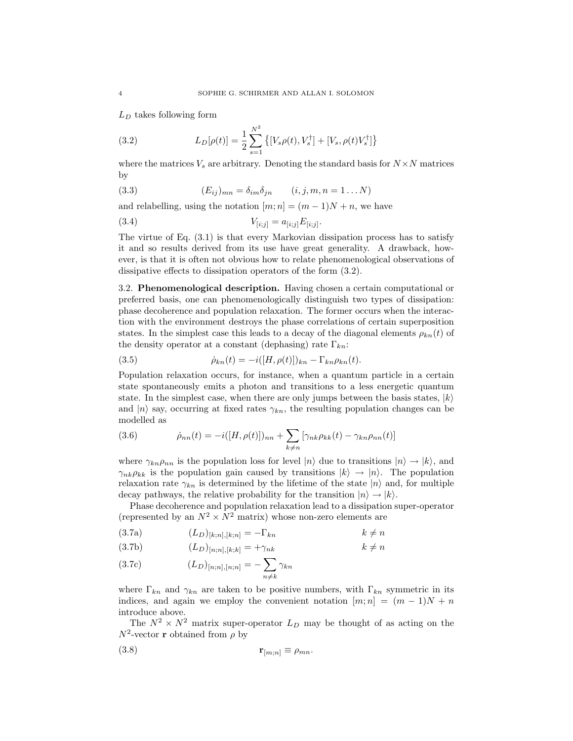$L_D$  takes following form

(3.2) 
$$
L_D[\rho(t)] = \frac{1}{2} \sum_{s=1}^{N^2} \{ [V_s \rho(t), V_s^{\dagger}] + [V_s, \rho(t) V_s^{\dagger}] \}
$$

where the matrices  $V_s$  are arbitrary. Denoting the standard basis for  $N \times N$  matrices by

(3.3) 
$$
(E_{ij})_{mn} = \delta_{im}\delta_{jn} \qquad (i, j, m, n = 1...N)
$$

and relabelling, using the notation  $[m; n] = (m - 1)N + n$ , we have

(3.4) 
$$
V_{[i;j]} = a_{[i;j]} E_{[i;j]}.
$$

The virtue of Eq.  $(3.1)$  is that every Markovian dissipation process has to satisfy it and so results derived from its use have great generality. A drawback, however, is that it is often not obvious how to relate phenomenological observations of dissipative effects to dissipation operators of the form (3.2).

3.2. Phenomenological description. Having chosen a certain computational or preferred basis, one can phenomenologically distinguish two types of dissipation: phase decoherence and population relaxation. The former occurs when the interaction with the environment destroys the phase correlations of certain superposition states. In the simplest case this leads to a decay of the diagonal elements  $\rho_{kn}(t)$  of the density operator at a constant (dephasing) rate  $\Gamma_{kn}$ :

(3.5) 
$$
\dot{\rho}_{kn}(t) = -i([H,\rho(t)])_{kn} - \Gamma_{kn}\rho_{kn}(t).
$$

Population relaxation occurs, for instance, when a quantum particle in a certain state spontaneously emits a photon and transitions to a less energetic quantum state. In the simplest case, when there are only jumps between the basis states,  $|k\rangle$ and  $|n\rangle$  say, occurring at fixed rates  $\gamma_{kn}$ , the resulting population changes can be modelled as

(3.6) 
$$
\dot{\rho}_{nn}(t) = -i([H, \rho(t)])_{nn} + \sum_{k \neq n} [\gamma_{nk} \rho_{kk}(t) - \gamma_{kn} \rho_{nn}(t)]
$$

where  $\gamma_{kn}\rho_{nn}$  is the population loss for level  $|n\rangle$  due to transitions  $|n\rangle \rightarrow |k\rangle$ , and  $\gamma_{nk}\rho_{kk}$  is the population gain caused by transitions  $|k\rangle \rightarrow |n\rangle$ . The population relaxation rate  $\gamma_{kn}$  is determined by the lifetime of the state  $|n\rangle$  and, for multiple decay pathways, the relative probability for the transition  $|n\rangle \rightarrow |k\rangle$ .

Phase decoherence and population relaxation lead to a dissipation super-operator (represented by an  $N^2 \times N^2$  matrix) whose non-zero elements are

(3.7a) 
$$
(L_D)_{[k;n],[k;n]} = -\Gamma_{kn} \qquad k \neq n
$$

$$
(3.7b)\qquad (L_D)_{[n;n],[k;k]} = +\gamma_{nk}\qquad k \neq n
$$

(3.7c) 
$$
(L_D)_{[n;n],[n;n]} = -\sum_{n \neq k} \gamma_{kn}
$$

where  $\Gamma_{kn}$  and  $\gamma_{kn}$  are taken to be positive numbers, with  $\Gamma_{kn}$  symmetric in its indices, and again we employ the convenient notation  $[m; n] = (m - 1)N + n$ introduce above.

The  $N^2 \times N^2$  matrix super-operator  $L_D$  may be thought of as acting on the  $N^2$ -vector **r** obtained from  $\rho$  by

$$
\mathbf{r}_{[m;n]} \equiv \rho_{mn}.
$$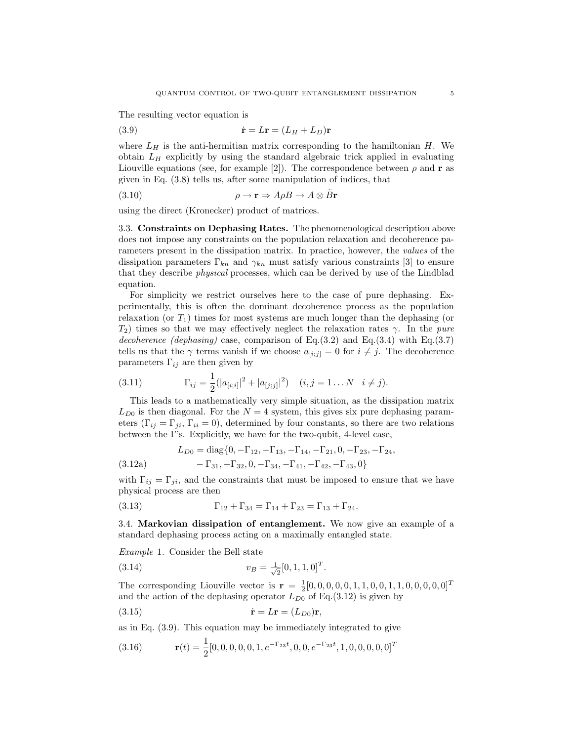The resulting vector equation is

(3.9) 
$$
\dot{\mathbf{r}} = L\mathbf{r} = (L_H + L_D)\mathbf{r}
$$

where  $L_H$  is the anti-hermitian matrix corresponding to the hamiltonian H. We obtain  $L_H$  explicitly by using the standard algebraic trick applied in evaluating Liouville equations (see, for example [2]). The correspondence between  $\rho$  and **r** as given in Eq. (3.8) tells us, after some manipulation of indices, that

(3.10) 
$$
\rho \to \mathbf{r} \Rightarrow A \rho B \to A \otimes \tilde{B} \mathbf{r}
$$

using the direct (Kronecker) product of matrices.

3.3. Constraints on Dephasing Rates. The phenomenological description above does not impose any constraints on the population relaxation and decoherence parameters present in the dissipation matrix. In practice, however, the values of the dissipation parameters  $\Gamma_{kn}$  and  $\gamma_{kn}$  must satisfy various constraints [3] to ensure that they describe physical processes, which can be derived by use of the Lindblad equation.

For simplicity we restrict ourselves here to the case of pure dephasing. Experimentally, this is often the dominant decoherence process as the population relaxation (or  $T_1$ ) times for most systems are much longer than the dephasing (or  $T_2$ ) times so that we may effectively neglect the relaxation rates  $\gamma$ . In the *pure* decoherence (dephasing) case, comparison of Eq.(3.2) and Eq.(3.4) with Eq.(3.7) tells us that the  $\gamma$  terms vanish if we choose  $a_{[i:j]} = 0$  for  $i \neq j$ . The decoherence parameters  $\Gamma_{ij}$  are then given by

(3.11) 
$$
\Gamma_{ij} = \frac{1}{2} (|a_{[i;i]}|^2 + |a_{[j;j]}|^2) \quad (i,j = 1...N \quad i \neq j).
$$

This leads to a mathematically very simple situation, as the dissipation matrix  $L_{D0}$  is then diagonal. For the  $N = 4$  system, this gives six pure dephasing parameters ( $\Gamma_{ij} = \Gamma_{ji}$ ,  $\Gamma_{ii} = 0$ ), determined by four constants, so there are two relations between the Γ's. Explicitly, we have for the two-qubit, 4-level case,

(3.12a)  
\n
$$
L_{D0} = \text{diag}\{0, -\Gamma_{12}, -\Gamma_{13}, -\Gamma_{14}, -\Gamma_{21}, 0, -\Gamma_{23}, -\Gamma_{24}, -\Gamma_{31}, -\Gamma_{32}, 0, -\Gamma_{34}, -\Gamma_{41}, -\Gamma_{42}, -\Gamma_{43}, 0\}
$$

with  $\Gamma_{ij} = \Gamma_{ji}$ , and the constraints that must be imposed to ensure that we have physical process are then

(3.13) 
$$
\Gamma_{12} + \Gamma_{34} = \Gamma_{14} + \Gamma_{23} = \Gamma_{13} + \Gamma_{24}.
$$

3.4. Markovian dissipation of entanglement. We now give an example of a standard dephasing process acting on a maximally entangled state.

Example 1. Consider the Bell state

(3.14) 
$$
v_B = \frac{1}{\sqrt{2}} [0, 1, 1, 0]^T.
$$

The corresponding Liouville vector is  $\mathbf{r} = \frac{1}{2}[0, 0, 0, 0, 0, 1, 1, 0, 0, 1, 1, 0, 0, 0, 0, 0]^T$ and the action of the dephasing operator  $L_{D0}$  of Eq.(3.12) is given by

$$
\dot{\mathbf{r}} = L\mathbf{r} = (L_{D0})\mathbf{r},
$$

as in Eq. (3.9). This equation may be immediately integrated to give

(3.16) 
$$
\mathbf{r}(t) = \frac{1}{2} [0, 0, 0, 0, 0, 1, e^{-\Gamma_{23}t}, 0, 0, e^{-\Gamma_{23}t}, 1, 0, 0, 0, 0, 0, 0]^T
$$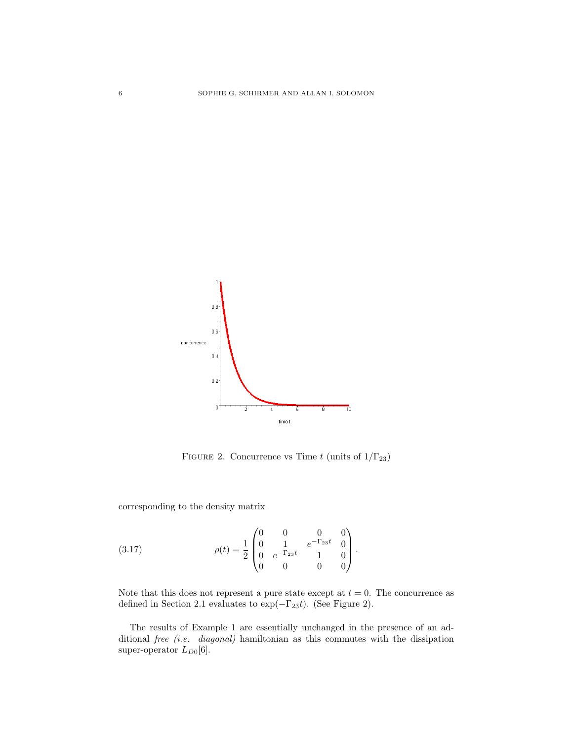

FIGURE 2. Concurrence vs Time t (units of  $1/\Gamma_{23}$ )

corresponding to the density matrix

(3.17) 
$$
\rho(t) = \frac{1}{2} \begin{pmatrix} 0 & 0 & 0 & 0 \\ 0 & 1 & e^{-\Gamma_{23}t} & 0 \\ 0 & e^{-\Gamma_{23}t} & 1 & 0 \\ 0 & 0 & 0 & 0 \end{pmatrix}.
$$

Note that this does not represent a pure state except at  $t = 0$ . The concurrence as defined in Section 2.1 evaluates to  $\exp(-\Gamma_{23}t)$ . (See Figure 2).

The results of Example 1 are essentially unchanged in the presence of an additional *free* (i.e. diagonal) hamiltonian as this commutes with the dissipation super-operator  $L_{D0}[6]$ .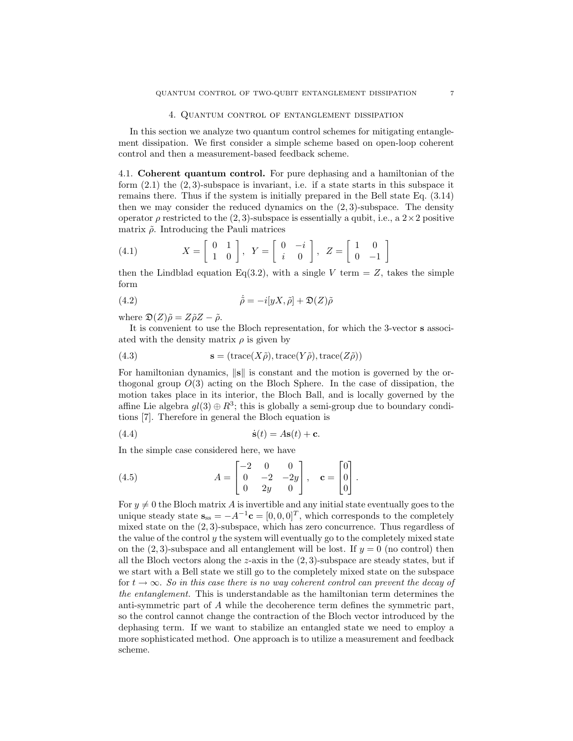#### 4. Quantum control of entanglement dissipation

In this section we analyze two quantum control schemes for mitigating entanglement dissipation. We first consider a simple scheme based on open-loop coherent control and then a measurement-based feedback scheme.

4.1. Coherent quantum control. For pure dephasing and a hamiltonian of the form  $(2.1)$  the  $(2, 3)$ -subspace is invariant, i.e. if a state starts in this subspace it remains there. Thus if the system is initially prepared in the Bell state Eq. (3.14) then we may consider the reduced dynamics on the  $(2, 3)$ -subspace. The density operator  $\rho$  restricted to the (2, 3)-subspace is essentially a qubit, i.e., a  $2 \times 2$  positive matrix  $\tilde{\rho}$ . Introducing the Pauli matrices

(4.1) 
$$
X = \begin{bmatrix} 0 & 1 \\ 1 & 0 \end{bmatrix}, Y = \begin{bmatrix} 0 & -i \\ i & 0 \end{bmatrix}, Z = \begin{bmatrix} 1 & 0 \\ 0 & -1 \end{bmatrix}
$$

then the Lindblad equation Eq(3.2), with a single V term =  $Z$ , takes the simple form

(4.2) 
$$
\dot{\tilde{\rho}} = -i[yX, \tilde{\rho}] + \mathfrak{D}(Z)\tilde{\rho}
$$

where  $\mathfrak{D}(Z)\tilde{\rho} = Z\tilde{\rho}Z - \tilde{\rho}$ .

It is convenient to use the Bloch representation, for which the 3-vector s associated with the density matrix  $\rho$  is given by

(4.3) 
$$
\mathbf{s} = (\text{trace}(X\tilde{\rho}), \text{trace}(Y\tilde{\rho}), \text{trace}(Z\tilde{\rho}))
$$

For hamiltonian dynamics,  $\|\mathbf{s}\|$  is constant and the motion is governed by the orthogonal group  $O(3)$  acting on the Bloch Sphere. In the case of dissipation, the motion takes place in its interior, the Bloch Ball, and is locally governed by the affine Lie algebra  $gl(3) \oplus R^3$ ; this is globally a semi-group due to boundary conditions [7]. Therefore in general the Bloch equation is

$$
\dot{\mathbf{s}}(t) = A\mathbf{s}(t) + \mathbf{c}.
$$

In the simple case considered here, we have

(4.5) 
$$
A = \begin{bmatrix} -2 & 0 & 0 \\ 0 & -2 & -2y \\ 0 & 2y & 0 \end{bmatrix}, \quad \mathbf{c} = \begin{bmatrix} 0 \\ 0 \\ 0 \end{bmatrix}.
$$

For  $y \neq 0$  the Bloch matrix A is invertible and any initial state eventually goes to the unique steady state  $\mathbf{s}_{ss} = -A^{-1}\mathbf{c} = [0, 0, 0]^T$ , which corresponds to the completely mixed state on the  $(2, 3)$ -subspace, which has zero concurrence. Thus regardless of the value of the control  $y$  the system will eventually go to the completely mixed state on the  $(2, 3)$ -subspace and all entanglement will be lost. If  $y = 0$  (no control) then all the Bloch vectors along the  $z$ -axis in the  $(2, 3)$ -subspace are steady states, but if we start with a Bell state we still go to the completely mixed state on the subspace for  $t \to \infty$ . So in this case there is no way coherent control can prevent the decay of the entanglement. This is understandable as the hamiltonian term determines the anti-symmetric part of A while the decoherence term defines the symmetric part, so the control cannot change the contraction of the Bloch vector introduced by the dephasing term. If we want to stabilize an entangled state we need to employ a more sophisticated method. One approach is to utilize a measurement and feedback scheme.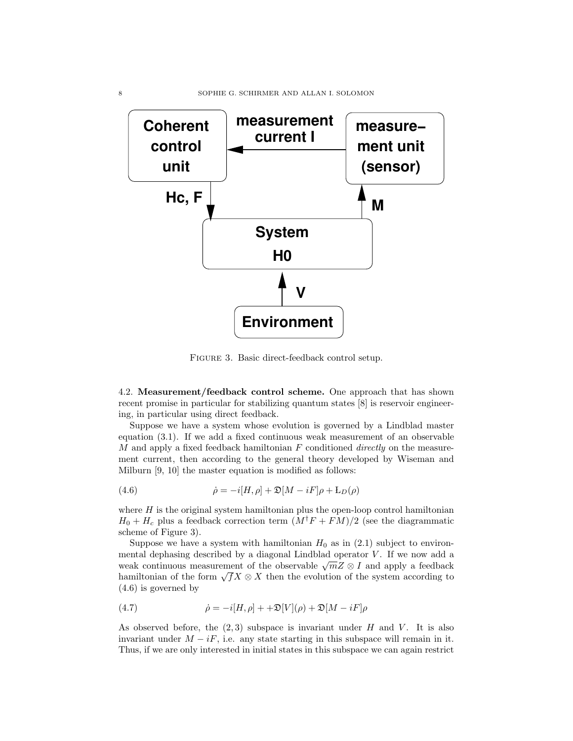

FIGURE 3. Basic direct-feedback control setup.

4.2. Measurement/feedback control scheme. One approach that has shown recent promise in particular for stabilizing quantum states [8] is reservoir engineering, in particular using direct feedback.

Suppose we have a system whose evolution is governed by a Lindblad master equation (3.1). If we add a fixed continuous weak measurement of an observable  $M$  and apply a fixed feedback hamiltonian  $F$  conditioned *directly* on the measurement current, then according to the general theory developed by Wiseman and Milburn [9, 10] the master equation is modified as follows:

(4.6) 
$$
\dot{\rho} = -i[H, \rho] + \mathfrak{D}[M - iF]\rho + \mathfrak{L}_D(\rho)
$$

where  $H$  is the original system hamiltonian plus the open-loop control hamiltonian  $H_0 + H_c$  plus a feedback correction term  $(M^{\dagger}F + FM)/2$  (see the diagrammatic scheme of Figure 3).

Suppose we have a system with hamiltonian  $H_0$  as in (2.1) subject to environmental dephasing described by a diagonal Lindblad operator  $V$ . If we now add a mental dephasing described by a diagonal Emdolad operator v. If we now add a<br>weak continuous measurement of the observable  $\sqrt{m}Z \otimes I$  and apply a feedback weak continuous measurement of the observable  $\sqrt{m} \otimes Y$  and apply a feedback<br>hamiltonian of the form  $\sqrt{f}X \otimes X$  then the evolution of the system according to (4.6) is governed by

(4.7) 
$$
\dot{\rho} = -i[H, \rho] + \mathfrak{D}[V](\rho) + \mathfrak{D}[M - iF]\rho
$$

As observed before, the  $(2,3)$  subspace is invariant under H and V. It is also invariant under  $M - iF$ , i.e. any state starting in this subspace will remain in it. Thus, if we are only interested in initial states in this subspace we can again restrict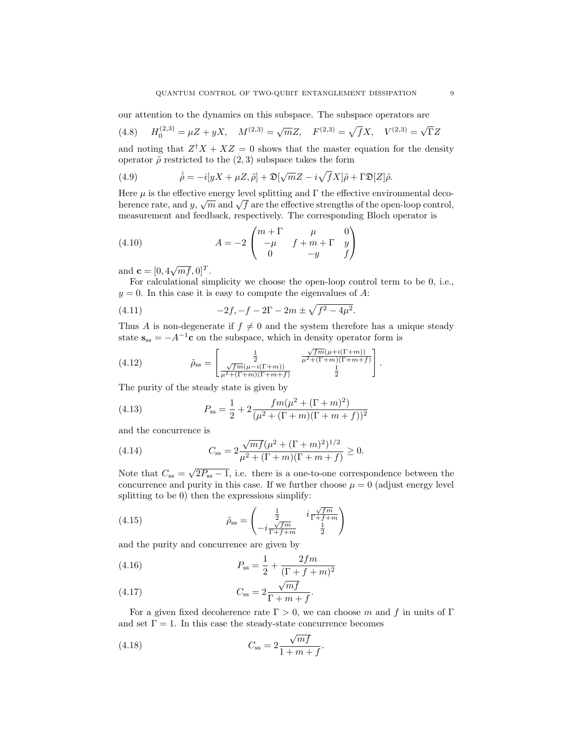our attention to the dynamics on this subspace. The subspace operators are

(4.8) 
$$
H_0^{(2,3)} = \mu Z + yX
$$
,  $M^{(2,3)} = \sqrt{m}Z$ ,  $F^{(2,3)} = \sqrt{f}X$ ,  $V^{(2,3)} = \sqrt{\Gamma}Z$ 

and noting that  $Z^{\dagger}X + XZ = 0$  shows that the master equation for the density operator  $\tilde{\rho}$  restricted to the (2,3) subspace takes the form

(4.9) 
$$
\dot{\tilde{\rho}} = -i[yX + \mu Z, \tilde{\rho}] + \mathfrak{D}[\sqrt{m}Z - i\sqrt{f}X]\tilde{\rho} + \Gamma \mathfrak{D}[Z]\tilde{\rho}.
$$

Here  $\mu$  is the effective energy level splitting and  $\Gamma$  the effective environmental decohere  $\mu$  is the effective energy lever spinting and T the effective environmental decoherence rate, and  $y$ ,  $\sqrt{m}$  and  $\sqrt{f}$  are the effective strengths of the open-loop control, measurement and feedback, respectively. The corresponding Bloch operator is

(4.10) 
$$
A = -2 \begin{pmatrix} m + \Gamma & \mu & 0 \\ -\mu & f + m + \Gamma & y \\ 0 & -y & f \end{pmatrix}
$$

and  $\mathbf{c} = [0, 4\sqrt{mf}, 0]^T$ .

For calculational simplicity we choose the open-loop control term to be 0, i.e.,  $y = 0$ . In this case it is easy to compute the eigenvalues of A:

(4.11) 
$$
-2f, -f - 2\Gamma - 2m \pm \sqrt{f^2 - 4\mu^2}.
$$

Thus A is non-degenerate if  $f \neq 0$  and the system therefore has a unique steady state  $\mathbf{s}_{ss} = -A^{-1}\mathbf{c}$  on the subspace, which in density operator form is

(4.12) 
$$
\tilde{\rho}_{ss} = \begin{bmatrix} \frac{1}{2} & \frac{\sqrt{fm}(\mu + i(\Gamma + m))}{\mu^2 + (\Gamma + m)(\Gamma + m + f)} \\ \frac{\sqrt{fm}(\mu - i(\Gamma + m))}{\mu^2 + (\Gamma + m)(\Gamma + m + f)} & \frac{1}{2} \end{bmatrix}.
$$

The purity of the steady state is given by

(4.13) 
$$
P_{\rm ss} = \frac{1}{2} + 2 \frac{fm(\mu^2 + (\Gamma + m)^2)}{(\mu^2 + (\Gamma + m)(\Gamma + m + f))^2}
$$

and the concurrence is

(4.14) 
$$
C_{\text{ss}} = 2 \frac{\sqrt{mf}(\mu^2 + (\Gamma + m)^2)^{1/2}}{\mu^2 + (\Gamma + m)(\Gamma + m + f)} \ge 0.
$$

Note that  $C_{ss} = \sqrt{2P_{ss} - 1}$ , i.e. there is a one-to-one correspondence between the concurrence and purity in this case. If we further choose  $\mu = 0$  (adjust energy level splitting to be 0) then the expressions simplify:

(4.15) 
$$
\tilde{\rho}_{ss} = \begin{pmatrix} \frac{1}{2} & i \frac{\sqrt{fm}}{\Gamma + f + m} \\ -i \frac{\sqrt{fm}}{\Gamma + f + m} & \frac{1}{2} \end{pmatrix}
$$

and the purity and concurrence are given by

(4.16) 
$$
P_{\rm ss} = \frac{1}{2} + \frac{2fm}{(\Gamma + f + m)^2}
$$

(4.17) 
$$
C_{\rm ss} = 2 \frac{\sqrt{m f}}{\Gamma + m + f}.
$$

For a given fixed decoherence rate  $\Gamma > 0$ , we can choose m and f in units of  $\Gamma$ and set  $\Gamma = 1$ . In this case the steady-state concurrence becomes

(4.18) 
$$
C_{\rm ss} = 2 \frac{\sqrt{mf}}{1 + m + f}.
$$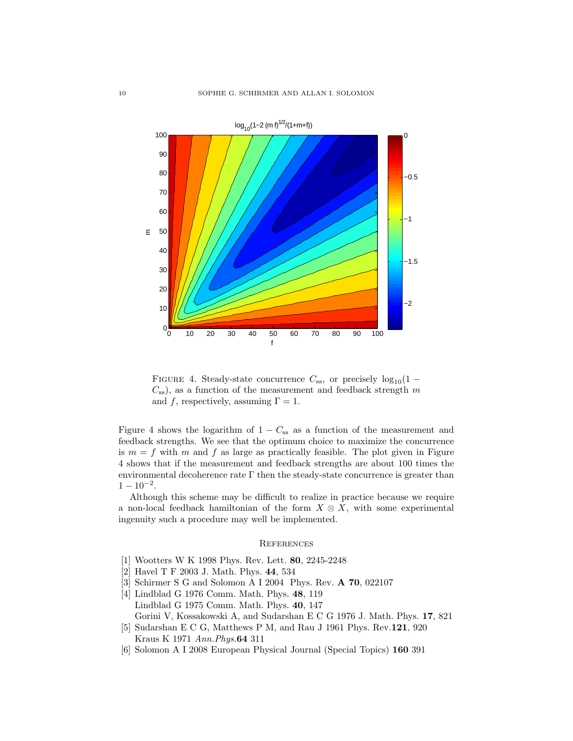

FIGURE 4. Steady-state concurrence  $C_{ss}$ , or precisely  $log_{10}(1 C_{ss}$ , as a function of the measurement and feedback strength m and f, respectively, assuming  $\Gamma = 1$ .

Figure 4 shows the logarithm of  $1 - C_{ss}$  as a function of the measurement and feedback strengths. We see that the optimum choice to maximize the concurrence is  $m = f$  with m and f as large as practically feasible. The plot given in Figure 4 shows that if the measurement and feedback strengths are about 100 times the environmental decoherence rate  $\Gamma$  then the steady-state concurrence is greater than  $1 - 10^{-2}$ .

Although this scheme may be difficult to realize in practice because we require a non-local feedback hamiltonian of the form  $X \otimes X$ , with some experimental ingenuity such a procedure may well be implemented.

#### **REFERENCES**

- [1] Wootters W K 1998 Phys. Rev. Lett. 80, 2245-2248
- [2] Havel T F 2003 J. Math. Phys. 44, 534
- [3] Schirmer S G and Solomon A I 2004 Phys. Rev. A 70, 022107
- [4] Lindblad G 1976 Comm. Math. Phys. 48, 119 Lindblad G 1975 Comm. Math. Phys. 40, 147 Gorini V, Kossakowski A, and Sudarshan E C G 1976 J. Math. Phys. 17, 821
- [5] Sudarshan E C G, Matthews P M, and Rau J 1961 Phys. Rev.121, 920 Kraus K 1971 Ann.Phys.64 311
- [6] Solomon A I 2008 European Physical Journal (Special Topics) 160 391